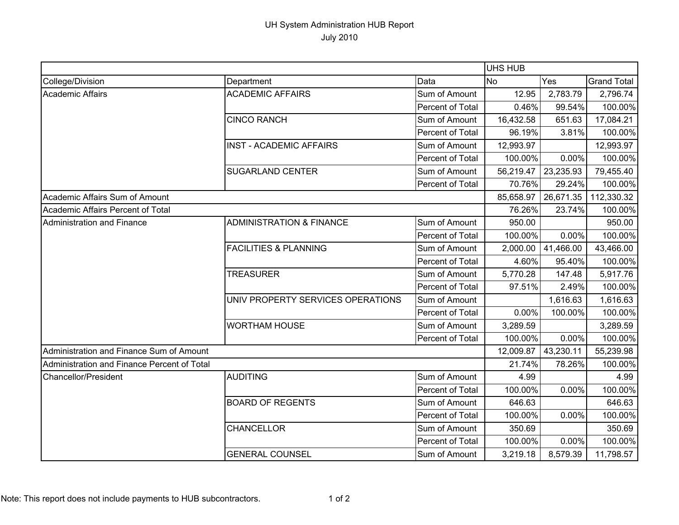## UH System Administration HUB Report July 2010

|                                             |                                     |                  | <b>UHS HUB</b> |           |                    |
|---------------------------------------------|-------------------------------------|------------------|----------------|-----------|--------------------|
| College/Division                            | Department                          | Data             | <b>No</b>      | Yes       | <b>Grand Total</b> |
| Academic Affairs                            | <b>ACADEMIC AFFAIRS</b>             | Sum of Amount    | 12.95          | 2,783.79  | 2,796.74           |
|                                             |                                     | Percent of Total | 0.46%          | 99.54%    | 100.00%            |
|                                             | <b>CINCO RANCH</b>                  | Sum of Amount    | 16,432.58      | 651.63    | 17,084.21          |
|                                             |                                     | Percent of Total | 96.19%         | 3.81%     | 100.00%            |
|                                             | <b>INST - ACADEMIC AFFAIRS</b>      | Sum of Amount    | 12,993.97      |           | 12,993.97          |
|                                             |                                     | Percent of Total | 100.00%        | 0.00%     | 100.00%            |
|                                             | <b>SUGARLAND CENTER</b>             | Sum of Amount    | 56,219.47      | 23,235.93 | 79,455.40          |
|                                             |                                     | Percent of Total | 70.76%         | 29.24%    | 100.00%            |
| Academic Affairs Sum of Amount              |                                     |                  | 85,658.97      | 26,671.35 | 112,330.32         |
| Academic Affairs Percent of Total           |                                     |                  | 76.26%         | 23.74%    | 100.00%            |
| Administration and Finance                  | <b>ADMINISTRATION &amp; FINANCE</b> | Sum of Amount    | 950.00         |           | 950.00             |
|                                             |                                     | Percent of Total | 100.00%        | 0.00%     | 100.00%            |
|                                             | <b>FACILITIES &amp; PLANNING</b>    | Sum of Amount    | 2,000.00       | 41,466.00 | 43,466.00          |
|                                             |                                     | Percent of Total | 4.60%          | 95.40%    | 100.00%            |
|                                             | <b>TREASURER</b>                    | Sum of Amount    | 5,770.28       | 147.48    | 5,917.76           |
|                                             |                                     | Percent of Total | 97.51%         | 2.49%     | 100.00%            |
|                                             | UNIV PROPERTY SERVICES OPERATIONS   | Sum of Amount    |                | 1,616.63  | 1,616.63           |
|                                             |                                     | Percent of Total | 0.00%          | 100.00%   | 100.00%            |
|                                             | <b>WORTHAM HOUSE</b>                | Sum of Amount    | 3,289.59       |           | 3,289.59           |
|                                             |                                     | Percent of Total | 100.00%        | 0.00%     | 100.00%            |
| Administration and Finance Sum of Amount    |                                     |                  | 12,009.87      | 43,230.11 | 55,239.98          |
| Administration and Finance Percent of Total |                                     |                  | 21.74%         | 78.26%    | 100.00%            |
| <b>Chancellor/President</b>                 | <b>AUDITING</b>                     | Sum of Amount    | 4.99           |           | 4.99               |
|                                             |                                     | Percent of Total | 100.00%        | 0.00%     | 100.00%            |
|                                             | <b>BOARD OF REGENTS</b>             | Sum of Amount    | 646.63         |           | 646.63             |
|                                             |                                     | Percent of Total | 100.00%        | 0.00%     | 100.00%            |
|                                             | <b>CHANCELLOR</b>                   | Sum of Amount    | 350.69         |           | 350.69             |
|                                             |                                     | Percent of Total | 100.00%        | 0.00%     | 100.00%            |
|                                             | <b>GENERAL COUNSEL</b>              | Sum of Amount    | 3,219.18       | 8,579.39  | 11,798.57          |